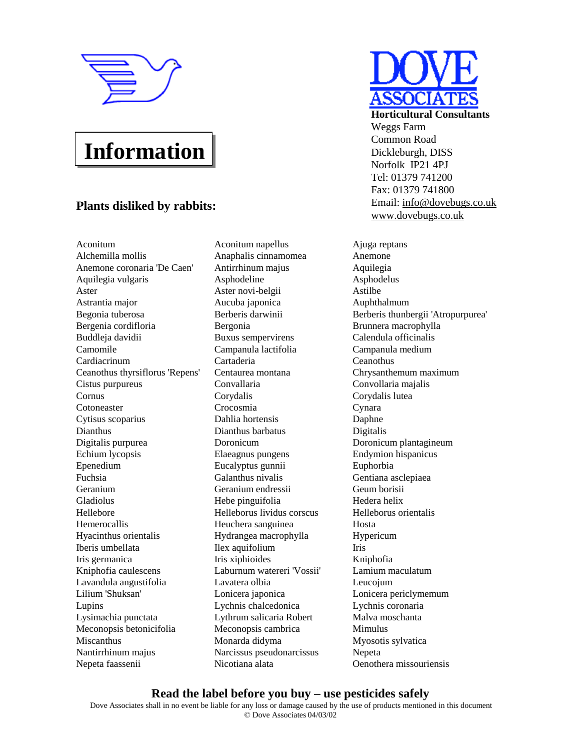

# **Information**

## **Plants disliked by rabbits:**

Aconitum Aconitum napellus Ajuga reptans Alchemilla mollis Anaphalis cinnamomea Anemone Anemone coronaria 'De Caen' Antirrhinum majus Aquilegia Aquilegia vulgaris Asphodeline Asphodelus Aster **Aster novi-belgii** Aster Astilbe Astrantia major Aucuba japonica Auphthalmum Bergenia cordifloria Bergonia Brunnera macrophylla Buddleja davidii Buxus sempervirens Calendula officinalis Camomile Campanula lactifolia Campanula medium Cardiacrinum Cartaderia Ceanothus Ceanothus thyrsiflorus 'Repens' Centaurea montana Chrysanthemum maximum Cistus purpureus Convallaria Convollaria majalis Cornus Corydalis Corydalis lutea Cotoneaster Crocosmia Cynara Cytisus scoparius Dahlia hortensis Daphne Dianthus Dianthus barbatus Digitalis Digitalis purpurea Doronicum Doronicum plantagineum Echium lycopsis Elaeagnus pungens Endymion hispanicus Epenedium Eucalyptus gunnii Euphorbia Fuchsia Galanthus nivalis Gentiana asclepiaea Geranium Geranium endressii Geum borisii Gladiolus Hebe pinguifolia Hedera helix Hellebore Helleborus lividus corscus Helleborus orientalis Hemerocallis Heuchera sanguinea Hosta Hyacinthus orientalis Hydrangea macrophylla Hypericum Iberis umbellata Ilex aquifolium Iris Iris germanica Iris xiphioides Kniphofia Kniphofia caulescens Laburnum watereri 'Vossii' Lamium maculatum Lavandula angustifolia Lavatera olbia Leucojum Lilium 'Shuksan' Lonicera japonica Lonicera periclymemum Lupins Lychnis chalcedonica Lychnis coronaria Lysimachia punctata Lythrum salicaria Robert Malva moschanta Meconopsis betonicifolia Meconopsis cambrica Mimulus Miscanthus Monarda didyma Myosotis sylvatica Nantirrhinum majus Narcissus pseudonarcissus Nepeta Nepeta faassenii Nicotiana alata Oenothera missouriensis



**Horticultural Consultants** Weggs Farm Common Road Dickleburgh, DISS Norfolk IP21 4PJ Tel: 01379 741200 Fax: 01379 741800 Email: [info@dovebugs.co.uk](mailto:info@dovebugs.co.uk) [www.dovebugs.co.uk](http://www.dovebugs.co.uk)

Begonia tuberosa Berberis darwinii Berberis thunbergii 'Atropurpurea'

### **Read the label before you buy – use pesticides safely**